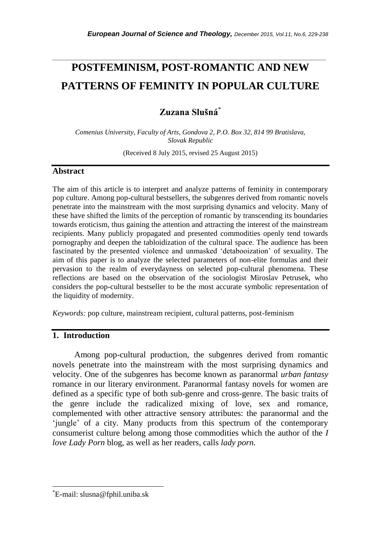# **POSTFEMINISM, POST-ROMANTIC AND NEW PATTERNS OF FEMINITY IN POPULAR CULTURE**

*\_\_\_\_\_\_\_\_\_\_\_\_\_\_\_\_\_\_\_\_\_\_\_\_\_\_\_\_\_\_\_\_\_\_\_\_\_\_\_\_\_\_\_\_\_\_\_\_\_\_\_\_\_\_\_\_\_\_\_\_\_\_\_\_\_\_\_\_\_\_\_*

**Zuzana Slušná**\*

*Comenius University, Faculty of Arts, Gondova 2, P.O. Box 32, 814 99 Bratislava, Slovak Republic*

(Received 8 July 2015, revised 25 August 2015)

#### **Abstract**

The aim of this article is to interpret and analyze patterns of feminity in contemporary pop culture. Among pop-cultural bestsellers, the subgenres derived from romantic novels penetrate into the mainstream with the most surprising dynamics and velocity. Many of these have shifted the limits of the perception of romantic by transcending its boundaries towards eroticism, thus gaining the attention and attracting the interest of the mainstream recipients. Many publicly propagated and presented commodities openly tend towards pornography and deepen the tabloidization of the cultural space. The audience has been fascinated by the presented violence and unmasked "detabooization" of sexuality. The aim of this paper is to analyze the selected parameters of non-elite formulas and their pervasion to the realm of everydayness on selected pop-cultural phenomena. These reflections are based on the observation of the sociologist Miroslav Petrusek, who considers the pop-cultural bestseller to be the most accurate symbolic representation of the liquidity of modernity.

*Keywords:* pop culture, mainstream recipient, cultural patterns, post-feminism

# **1. Introduction**

Among pop-cultural production, the subgenres derived from romantic novels penetrate into the mainstream with the most surprising dynamics and velocity. One of the subgenres has become known as paranormal *urban fantasy* romance in our literary environment. Paranormal fantasy novels for women are defined as a specific type of both sub-genre and cross-genre. The basic traits of the genre include the radicalized mixing of love, sex and romance, complemented with other attractive sensory attributes: the paranormal and the "jungle" of a city. Many products from this spectrum of the contemporary consumerist culture belong among those commodities which the author of the *I love Lady Porn* blog, as well as her readers, calls *lady porn.*

l

<sup>\*</sup>E-mail: slusna@fphil.uniba.sk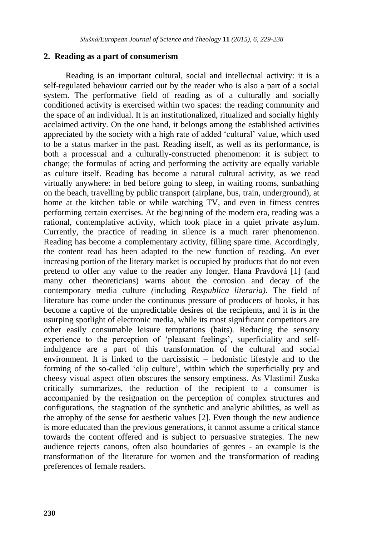#### **2. Reading as a part of consumerism**

Reading is an important cultural, social and intellectual activity: it is a self-regulated behaviour carried out by the reader who is also a part of a social system. The performative field of reading as of a culturally and socially conditioned activity is exercised within two spaces: the reading community and the space of an individual. It is an institutionalized, ritualized and socially highly acclaimed activity. On the one hand, it belongs among the established activities appreciated by the society with a high rate of added "cultural" value, which used to be a status marker in the past. Reading itself, as well as its performance, is both a processual and a culturally-constructed phenomenon: it is subject to change; the formulas of acting and performing the activity are equally variable as culture itself. Reading has become a natural cultural activity, as we read virtually anywhere: in bed before going to sleep, in waiting rooms, sunbathing on the beach, travelling by public transport (airplane, bus, train, underground), at home at the kitchen table or while watching TV, and even in fitness centres performing certain exercises. At the beginning of the modern era, reading was a rational, contemplative activity, which took place in a quiet private asylum. Currently, the practice of reading in silence is a much rarer phenomenon. Reading has become a complementary activity, filling spare time. Accordingly, the content read has been adapted to the new function of reading. An ever increasing portion of the literary market is occupied by products that do not even pretend to offer any value to the reader any longer. Hana Pravdová [1] (and many other theoreticians) warns about the corrosion and decay of the contemporary media culture *(*including *Respublica literaria)*. The field of literature has come under the continuous pressure of producers of books, it has become a captive of the unpredictable desires of the recipients, and it is in the usurping spotlight of electronic media, while its most significant competitors are other easily consumable leisure temptations (baits). Reducing the sensory experience to the perception of 'pleasant feelings', superficiality and selfindulgence are a part of this transformation of the cultural and social environment. It is linked to the narcissistic – hedonistic lifestyle and to the forming of the so-called "clip culture", within which the superficially pry and cheesy visual aspect often obscures the sensory emptiness. As Vlastimil Zuska critically summarizes, the reduction of the recipient to a consumer is accompanied by the resignation on the perception of complex structures and configurations, the stagnation of the synthetic and analytic abilities, as well as the atrophy of the sense for aesthetic values [2]. Even though the new audience is more educated than the previous generations, it cannot assume a critical stance towards the content offered and is subject to persuasive strategies. The new audience rejects canons, often also boundaries of genres - an example is the transformation of the literature for women and the transformation of reading preferences of female readers.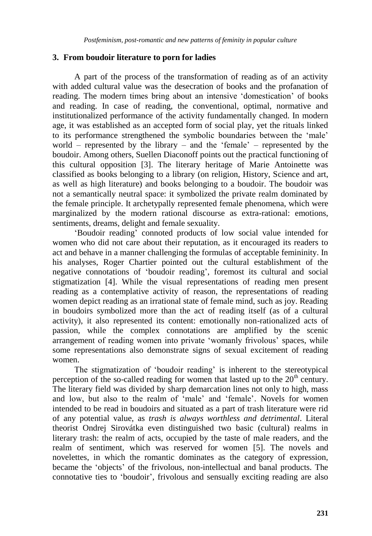# **3. From boudoir literature to porn for ladies**

A part of the process of the transformation of reading as of an activity with added cultural value was the desecration of books and the profanation of reading. The modern times bring about an intensive "domestication" of books and reading. In case of reading, the conventional, optimal, normative and institutionalized performance of the activity fundamentally changed. In modern age, it was established as an accepted form of social play, yet the rituals linked to its performance strengthened the symbolic boundaries between the "male" world – represented by the library – and the 'female' – represented by the boudoir. Among others, Suellen Diaconoff points out the practical functioning of this cultural opposition [3]. The literary heritage of Marie Antoinette was classified as books belonging to a library (on religion, History, Science and art, as well as high literature) and books belonging to a boudoir. The boudoir was not a semantically neutral space: it symbolized the private realm dominated by the female principle. It archetypally represented female phenomena, which were marginalized by the modern rational discourse as extra-rational: emotions, sentiments, dreams, delight and female sexuality.

"Boudoir reading" connoted products of low social value intended for women who did not care about their reputation, as it encouraged its readers to act and behave in a manner challenging the formulas of acceptable femininity. In his analyses, Roger Chartier pointed out the cultural establishment of the negative connotations of "boudoir reading", foremost its cultural and social stigmatization [4]. While the visual representations of reading men present reading as a contemplative activity of reason, the representations of reading women depict reading as an irrational state of female mind, such as joy. Reading in boudoirs symbolized more than the act of reading itself (as of a cultural activity), it also represented its content: emotionally non-rationalized acts of passion, while the complex connotations are amplified by the scenic arrangement of reading women into private "womanly frivolous" spaces, while some representations also demonstrate signs of sexual excitement of reading women.

The stigmatization of 'boudoir reading' is inherent to the stereotypical perception of the so-called reading for women that lasted up to the  $20<sup>th</sup>$  century. The literary field was divided by sharp demarcation lines not only to high, mass and low, but also to the realm of 'male' and 'female'. Novels for women intended to be read in boudoirs and situated as a part of trash literature were rid of any potential value, as *trash is always worthless and detrimental*. Literal theorist Ondrej Sirovátka even distinguished two basic (cultural) realms in literary trash: the realm of acts, occupied by the taste of male readers, and the realm of sentiment, which was reserved for women [5]. The novels and novelettes, in which the romantic dominates as the category of expression, became the "objects" of the frivolous, non-intellectual and banal products. The connotative ties to "boudoir", frivolous and sensually exciting reading are also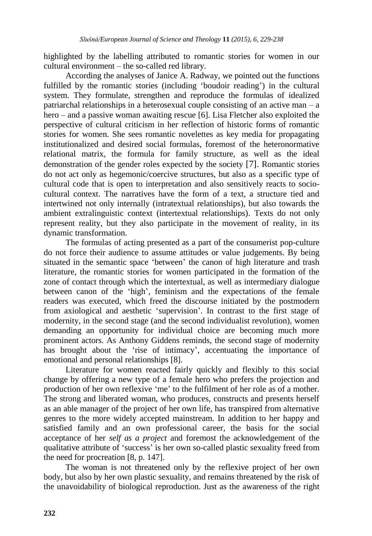highlighted by the labelling attributed to romantic stories for women in our cultural environment – the so-called red library.

According the analyses of Janice A. Radway, we pointed out the functions fulfilled by the romantic stories (including 'boudoir reading') in the cultural system. They formulate, strengthen and reproduce the formulas of idealized patriarchal relationships in a heterosexual couple consisting of an active man – a hero – and a passive woman awaiting rescue [6]. Lisa Fletcher also exploited the perspective of cultural criticism in her reflection of historic forms of romantic stories for women. She sees romantic novelettes as key media for propagating institutionalized and desired social formulas, foremost of the heteronormative relational matrix, the formula for family structure, as well as the ideal demonstration of the gender roles expected by the society [7]. Romantic stories do not act only as hegemonic/coercive structures, but also as a specific type of cultural code that is open to interpretation and also sensitively reacts to sociocultural context. The narratives have the form of a text, a structure tied and intertwined not only internally (intratextual relationships), but also towards the ambient extralinguistic context (intertextual relationships). Texts do not only represent reality, but they also participate in the movement of reality, in its dynamic transformation.

The formulas of acting presented as a part of the consumerist pop-culture do not force their audience to assume attitudes or value judgements. By being situated in the semantic space "between" the canon of high literature and trash literature, the romantic stories for women participated in the formation of the zone of contact through which the intertextual, as well as intermediary dialogue between canon of the "high", feminism and the expectations of the female readers was executed, which freed the discourse initiated by the postmodern from axiological and aesthetic "supervision". In contrast to the first stage of modernity, in the second stage (and the second individualist revolution), women demanding an opportunity for individual choice are becoming much more prominent actors. As Anthony Giddens reminds, the second stage of modernity has brought about the 'rise of intimacy', accentuating the importance of emotional and personal relationships [8].

Literature for women reacted fairly quickly and flexibly to this social change by offering a new type of a female hero who prefers the projection and production of her own reflexive "me" to the fulfilment of her role as of a mother. The strong and liberated woman, who produces, constructs and presents herself as an able manager of the project of her own life, has transpired from alternative genres to the more widely accepted mainstream. In addition to her happy and satisfied family and an own professional career, the basis for the social acceptance of her *self as a project* and foremost the acknowledgement of the qualitative attribute of "success" is her own so-called plastic sexuality freed from the need for procreation [8, p. 147].

The woman is not threatened only by the reflexive project of her own body, but also by her own plastic sexuality, and remains threatened by the risk of the unavoidability of biological reproduction. Just as the awareness of the right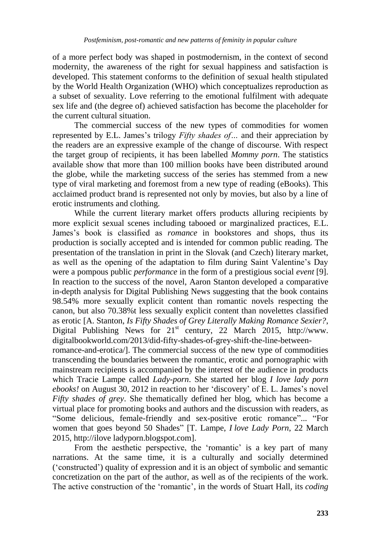of a more perfect body was shaped in postmodernism, in the context of second modernity, the awareness of the right for sexual happiness and satisfaction is developed. This statement conforms to the definition of sexual health stipulated by the World Health Organization (WHO) which conceptualizes reproduction as a subset of sexuality. Love referring to the emotional fulfilment with adequate sex life and (the degree of) achieved satisfaction has become the placeholder for the current cultural situation.

The commercial success of the new types of commodities for women represented by E.L. James"s trilogy *Fifty shades of…* and their appreciation by the readers are an expressive example of the change of discourse. With respect the target group of recipients, it has been labelled *Mommy porn*. The statistics available show that more than 100 million books have been distributed around the globe, while the marketing success of the series has stemmed from a new type of viral marketing and foremost from a new type of reading (eBooks). This acclaimed product brand is represented not only by movies, but also by a line of erotic instruments and clothing.

While the current literary market offers products alluring recipients by more explicit sexual scenes including tabooed or marginalized practices, E.L. James"s book is classified as *romance* in bookstores and shops, thus its production is socially accepted and is intended for common public reading. The presentation of the translation in print in the Slovak (and Czech) literary market, as well as the opening of the adaptation to film during Saint Valentine"s Day were a pompous public *performance* in the form of a prestigious social *event* [9]. In reaction to the success of the novel, Aaron Stanton developed a comparative in-depth analysis for Digital Publishing News suggesting that the book contains 98.54% more sexually explicit content than romantic novels respecting the canon, but also 70.38%t less sexually explicit content than novelettes classified as erotic [A. Stanton, *Is Fifty Shades of Grey Literally Making Romance Sexier?*, Digital Publishing News for  $21<sup>st</sup>$  century, 22 March 2015, http://www. digitalbookworld.com/2013/did-fifty-shades-of-grey-shift-the-line-betweenromance-and-erotica/]. The commercial success of the new type of commodities

transcending the boundaries between the romantic, erotic and pornographic with mainstream recipients is accompanied by the interest of the audience in products which Tracie Lampe called *Lady-porn*. She started her blog *I love lady porn ebooks!* on August 30, 2012 in reaction to her 'discovery' of E. L. James's novel *Fifty shades of grey*. She thematically defined her blog, which has become a virtual place for promoting books and authors and the discussion with readers, as "Some delicious, female-friendly and sex-positive erotic romance"... "For women that goes beyond 50 Shades" [T. Lampe, *I love Lady Porn*, 22 March 2015, http://ilove ladyporn.blogspot.com].

From the aesthetic perspective, the 'romantic' is a key part of many narrations. At the same time, it is a culturally and socially determined ("constructed") quality of expression and it is an object of symbolic and semantic concretization on the part of the author, as well as of the recipients of the work. The active construction of the "romantic", in the words of Stuart Hall, its *coding*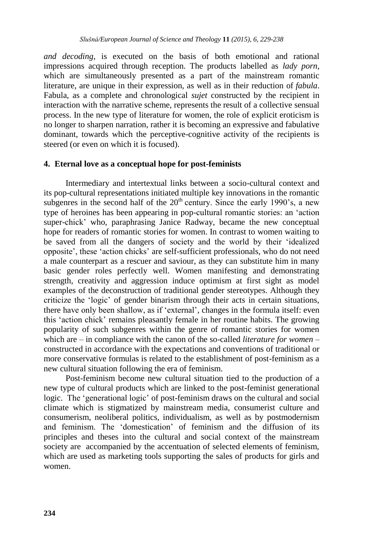*and decoding*, is executed on the basis of both emotional and rational impressions acquired through reception. The products labelled as *lady porn*, which are simultaneously presented as a part of the mainstream romantic literature, are unique in their expression, as well as in their reduction of *fabula*. Fabula, as a complete and chronological *sujet* constructed by the recipient in interaction with the narrative scheme, represents the result of a collective sensual process. In the new type of literature for women, the role of explicit eroticism is no longer to sharpen narration, rather it is becoming an expressive and fabulative dominant, towards which the perceptive-cognitive activity of the recipients is steered (or even on which it is focused).

## **4. Eternal love as a conceptual hope for post-feminists**

Intermediary and intertextual links between a socio-cultural context and its pop-cultural representations initiated multiple key innovations in the romantic subgenres in the second half of the  $20<sup>th</sup>$  century. Since the early 1990's, a new type of heroines has been appearing in pop-cultural romantic stories: an "action super-chick' who, paraphrasing Janice Radway, became the new conceptual hope for readers of romantic stories for women. In contrast to women waiting to be saved from all the dangers of society and the world by their "idealized opposite", these "action chicks" are self-sufficient professionals, who do not need a male counterpart as a rescuer and saviour, as they can substitute him in many basic gender roles perfectly well. Women manifesting and demonstrating strength, creativity and aggression induce optimism at first sight as model examples of the deconstruction of traditional gender stereotypes. Although they criticize the "logic" of gender binarism through their acts in certain situations, there have only been shallow, as if "external", changes in the formula itself: even this "action chick" remains pleasantly female in her routine habits. The growing popularity of such subgenres within the genre of romantic stories for women which are – in compliance with the canon of the so-called *literature for women* – constructed in accordance with the expectations and conventions of traditional or more conservative formulas is related to the establishment of post-feminism as a new cultural situation following the era of feminism.

Post-feminism become new cultural situation tied to the production of a new type of cultural products which are linked to the post-feminist generational logic. The "generational logic" of post-feminism draws on the cultural and social climate which is stigmatized by mainstream media, consumerist culture and consumerism, neoliberal politics, individualism, as well as by postmodernism and feminism. The "domestication" of feminism and the diffusion of its principles and theses into the cultural and social context of the mainstream society are accompanied by the accentuation of selected elements of feminism, which are used as marketing tools supporting the sales of products for girls and women.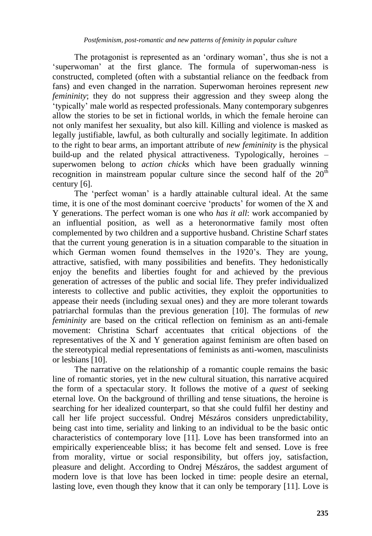The protagonist is represented as an "ordinary woman", thus she is not a "superwoman" at the first glance. The formula of superwoman-ness is constructed, completed (often with a substantial reliance on the feedback from fans) and even changed in the narration. Superwoman heroines represent *new femininity*; they do not suppress their aggression and they sweep along the "typically" male world as respected professionals. Many contemporary subgenres allow the stories to be set in fictional worlds, in which the female heroine can not only manifest her sexuality, but also kill. Killing and violence is masked as legally justifiable, lawful, as both culturally and socially legitimate. In addition to the right to bear arms, an important attribute of *new femininity* is the physical build-up and the related physical attractiveness. Typologically, heroines – superwomen belong to *action chicks* which have been gradually winning recognition in mainstream popular culture since the second half of the  $20<sup>th</sup>$ century [6].

The "perfect woman" is a hardly attainable cultural ideal. At the same time, it is one of the most dominant coercive 'products' for women of the X and Y generations. The perfect woman is one who *has it all*: work accompanied by an influential position, as well as a heteronormative family most often complemented by two children and a supportive husband. Christine Scharf states that the current young generation is in a situation comparable to the situation in which German women found themselves in the 1920's. They are young, attractive, satisfied, with many possibilities and benefits. They hedonistically enjoy the benefits and liberties fought for and achieved by the previous generation of actresses of the public and social life. They prefer individualized interests to collective and public activities, they exploit the opportunities to appease their needs (including sexual ones) and they are more tolerant towards patriarchal formulas than the previous generation [10]. The formulas of *new femininity* are based on the critical reflection on feminism as an anti-female movement: Christina Scharf accentuates that critical objections of the representatives of the X and Y generation against feminism are often based on the stereotypical medial representations of feminists as anti-women, masculinists or lesbians [10].

The narrative on the relationship of a romantic couple remains the basic line of romantic stories, yet in the new cultural situation, this narrative acquired the form of a spectacular story. It follows the motive of a *quest* of seeking eternal love. On the background of thrilling and tense situations, the heroine is searching for her idealized counterpart, so that she could fulfil her destiny and call her life project successful. Ondrej Mészáros considers unpredictability, being cast into time, seriality and linking to an individual to be the basic ontic characteristics of contemporary love [11]. Love has been transformed into an empirically experienceable bliss; it has become felt and sensed. Love is free from morality, virtue or social responsibility, but offers joy, satisfaction, pleasure and delight. According to Ondrej Mészáros, the saddest argument of modern love is that love has been locked in time: people desire an eternal, lasting love, even though they know that it can only be temporary [11]. Love is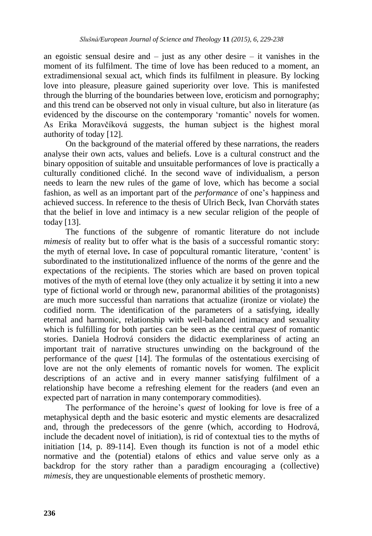an egoistic sensual desire and  $-$  just as any other desire  $-$  it vanishes in the moment of its fulfilment. The time of love has been reduced to a moment, an extradimensional sexual act, which finds its fulfilment in pleasure. By locking love into pleasure, pleasure gained superiority over love. This is manifested through the blurring of the boundaries between love, eroticism and pornography; and this trend can be observed not only in visual culture, but also in literature (as evidenced by the discourse on the contemporary "romantic" novels for women. As Erika Moravčíková suggests, the human subject is the highest moral authority of today [12].

On the background of the material offered by these narrations, the readers analyse their own acts, values and beliefs. Love is a cultural construct and the binary opposition of suitable and unsuitable performances of love is practically a culturally conditioned cliché. In the second wave of individualism, a person needs to learn the new rules of the game of love, which has become a social fashion, as well as an important part of the *performance* of one's happiness and achieved success. In reference to the thesis of Ulrich Beck, Ivan Chorváth states that the belief in love and intimacy is a new secular religion of the people of today [13].

The functions of the subgenre of romantic literature do not include *mimesis* of reality but to offer what is the basis of a successful romantic story: the myth of eternal love**.** In case of popcultural romantic literature, "content" is subordinated to the institutionalized influence of the norms of the genre and the expectations of the recipients. The stories which are based on proven topical motives of the myth of eternal love (they only actualize it by setting it into a new type of fictional world or through new, paranormal abilities of the protagonists) are much more successful than narrations that actualize (ironize or violate) the codified norm. The identification of the parameters of a satisfying, ideally eternal and harmonic, relationship with well-balanced intimacy and sexuality which is fulfilling for both parties can be seen as the central *quest* of romantic stories. Daniela Hodrová considers the didactic exemplariness of acting an important trait of narrative structures unwinding on the background of the performance of the *quest* [14]. The formulas of the ostentatious exercising of love are not the only elements of romantic novels for women. The explicit descriptions of an active and in every manner satisfying fulfilment of a relationship have become a refreshing element for the readers (and even an expected part of narration in many contemporary commodities).

The performance of the heroine"s *quest* of looking for love is free of a metaphysical depth and the basic esoteric and mystic elements are desacralized and, through the predecessors of the genre (which, according to Hodrová, include the decadent novel of initiation), is rid of contextual ties to the myths of initiation [14, p. 89-114]. Even though its function is not of a model ethic normative and the (potential) etalons of ethics and value serve only as a backdrop for the story rather than a paradigm encouraging a (collective) *mimesis*, they are unquestionable elements of prosthetic memory.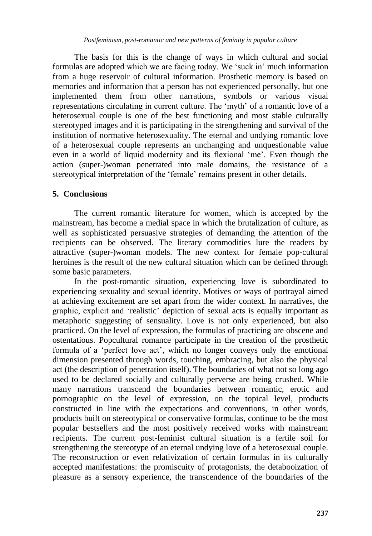The basis for this is the change of ways in which cultural and social formulas are adopted which we are facing today. We "suck in" much information from a huge reservoir of cultural information. Prosthetic memory is based on memories and information that a person has not experienced personally, but one implemented them from other narrations, symbols or various visual representations circulating in current culture. The "myth" of a romantic love of a heterosexual couple is one of the best functioning and most stable culturally stereotyped images and it is participating in the strengthening and survival of the institution of normative heterosexuality. The eternal and undying romantic love of a heterosexual couple represents an unchanging and unquestionable value even in a world of liquid modernity and its flexional 'me'. Even though the action (super-)woman penetrated into male domains, the resistance of a stereotypical interpretation of the "female" remains present in other details.

# **5. Conclusions**

The current romantic literature for women, which is accepted by the mainstream, has become a medial space in which the brutalization of culture, as well as sophisticated persuasive strategies of demanding the attention of the recipients can be observed. The literary commodities lure the readers by attractive (super-)woman models. The new context for female pop-cultural heroines is the result of the new cultural situation which can be defined through some basic parameters.

In the post-romantic situation, experiencing love is subordinated to experiencing sexuality and sexual identity. Motives or ways of portrayal aimed at achieving excitement are set apart from the wider context. In narratives, the graphic, explicit and "realistic" depiction of sexual acts is equally important as metaphoric suggesting of sensuality. Love is not only experienced, but also practiced. On the level of expression, the formulas of practicing are obscene and ostentatious. Popcultural romance participate in the creation of the prosthetic formula of a 'perfect love act', which no longer conveys only the emotional dimension presented through words, touching, embracing, but also the physical act (the description of penetration itself). The boundaries of what not so long ago used to be declared socially and culturally perverse are being crushed. While many narrations transcend the boundaries between romantic, erotic and pornographic on the level of expression, on the topical level, products constructed in line with the expectations and conventions, in other words, products built on stereotypical or conservative formulas, continue to be the most popular bestsellers and the most positively received works with mainstream recipients. The current post-feminist cultural situation is a fertile soil for strengthening the stereotype of an eternal undying love of a heterosexual couple. The reconstruction or even relativization of certain formulas in its culturally accepted manifestations: the promiscuity of protagonists, the detabooization of pleasure as a sensory experience, the transcendence of the boundaries of the